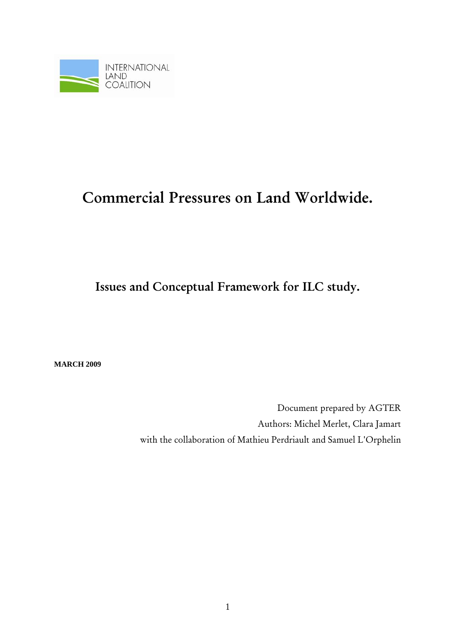

# Commercial Pressures on Land Worldwide.

Issues and Conceptual Framework for ILC study.

**MARCH 2009** 

Document prepared by AGTER Authors: Michel Merlet, Clara Jamart with the collaboration of Mathieu Perdriault and Samuel L'Orphelin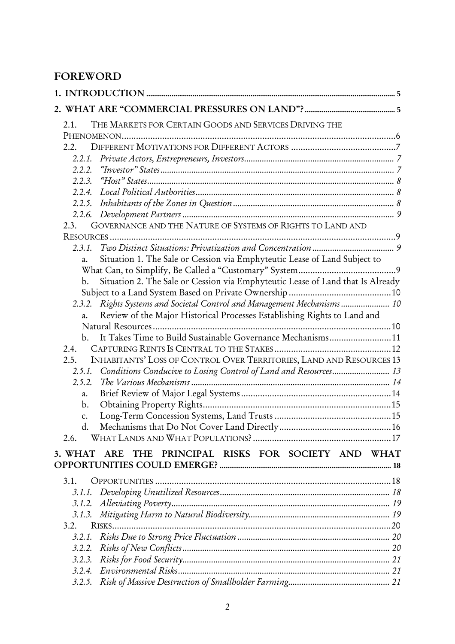# FOREWORD

| THE MARKETS FOR CERTAIN GOODS AND SERVICES DRIVING THE<br>2.1.                                   |  |
|--------------------------------------------------------------------------------------------------|--|
|                                                                                                  |  |
| 2.2.                                                                                             |  |
| 2.2.1.                                                                                           |  |
| 2.2.2.                                                                                           |  |
| 2.2.3.                                                                                           |  |
| 2.2.4.                                                                                           |  |
| 2.2.5.                                                                                           |  |
| 2.2.6.                                                                                           |  |
| GOVERNANCE AND THE NATURE OF SYSTEMS OF RIGHTS TO LAND AND<br>2.3.                               |  |
|                                                                                                  |  |
| 2.3.1.                                                                                           |  |
| Situation 1. The Sale or Cession via Emphyteutic Lease of Land Subject to<br>a.                  |  |
|                                                                                                  |  |
| Situation 2. The Sale or Cession via Emphyteutic Lease of Land that Is Already<br>$\mathbf{b}$ . |  |
|                                                                                                  |  |
| 2.3.2. Rights Systems and Societal Control and Management Mechanisms  10                         |  |
| Review of the Major Historical Processes Establishing Rights to Land and<br>$a_{\cdot}$          |  |
| It Takes Time to Build Sustainable Governance Mechanisms 11                                      |  |
| $\mathbf{b}$ .                                                                                   |  |
| 2.4.<br>2.5.                                                                                     |  |
| INHABITANTS' LOSS OF CONTROL OVER TERRITORIES, LAND AND RESOURCES 13<br>2.5.1.                   |  |
| Conditions Conducive to Losing Control of Land and Resources 13<br>2.5.2.                        |  |
| a.                                                                                               |  |
| $\mathbf{b}$ .                                                                                   |  |
| c.                                                                                               |  |
| d.                                                                                               |  |
| 2.6.                                                                                             |  |
|                                                                                                  |  |
| PRINCIPAL RISKS FOR SOCIETY AND WHAT<br><b>THE</b><br>3. WHAT<br><b>ARE</b>                      |  |
| 3.1.                                                                                             |  |
| 3.1.1.                                                                                           |  |
| 3.1.2.                                                                                           |  |
| 3.1.3.                                                                                           |  |
| 3.2.                                                                                             |  |
| 3.2.1.                                                                                           |  |
| 3.2.2.                                                                                           |  |
| 3.2.3.                                                                                           |  |
| 3.2.4.                                                                                           |  |
| 3.2.5.                                                                                           |  |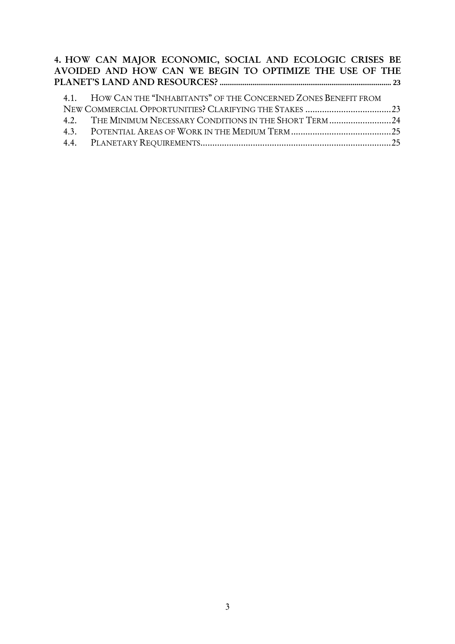#### 4. HOW CAN MAJOR ECONOMIC, SOCIAL AND ECOLOGIC CRISES BE AVOIDED AND HOW CAN WE BEGIN TO OPTIMIZE THE USE OF THE PLANET'S LAND AND RESOURCES?**......................................................................................... 23**

| 4.1. HOW CAN THE "INHABITANTS" OF THE CONCERNED ZONES BENEFIT FROM |  |
|--------------------------------------------------------------------|--|
|                                                                    |  |
|                                                                    |  |
|                                                                    |  |
|                                                                    |  |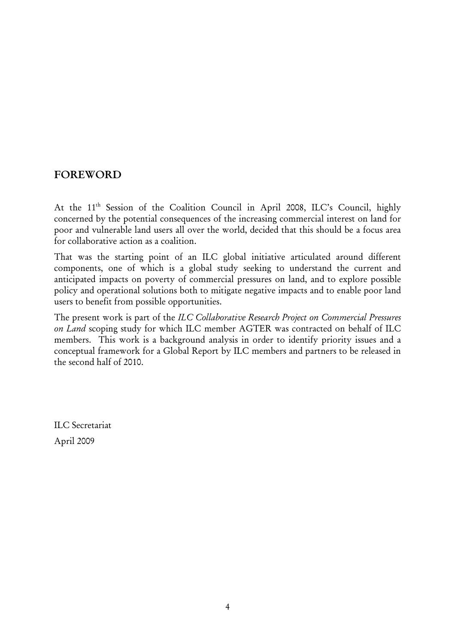# FOREWORD

At the 11<sup>th</sup> Session of the Coalition Council in April 2008, ILC's Council, highly concerned by the potential consequences of the increasing commercial interest on land for poor and vulnerable land users all over the world, decided that this should be a focus area for collaborative action as a coalition.

That was the starting point of an ILC global initiative articulated around different components, one of which is a global study seeking to understand the current and anticipated impacts on poverty of commercial pressures on land, and to explore possible policy and operational solutions both to mitigate negative impacts and to enable poor land users to benefit from possible opportunities.

The present work is part of the *ILC Collaborative Research Project on Commercial Pressures on Land* scoping study for which ILC member AGTER was contracted on behalf of ILC members. This work is a background analysis in order to identify priority issues and a conceptual framework for a Global Report by ILC members and partners to be released in the second half of 2010.

ILC Secretariat April 2009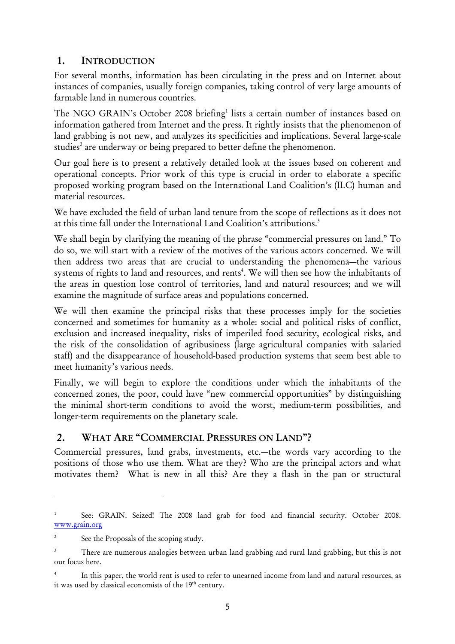# 1. INTRODUCTION

For several months, information has been circulating in the press and on Internet about instances of companies, usually foreign companies, taking control of very large amounts of farmable land in numerous countries.

The NGO GRAIN's October 2008 briefing<sup>1</sup> lists a certain number of instances based on information gathered from Internet and the press. It rightly insists that the phenomenon of land grabbing is not new, and analyzes its specificities and implications. Several large-scale studies<sup>2</sup> are underway or being prepared to better define the phenomenon.

Our goal here is to present a relatively detailed look at the issues based on coherent and operational concepts. Prior work of this type is crucial in order to elaborate a specific proposed working program based on the International Land Coalition's (ILC) human and material resources.

We have excluded the field of urban land tenure from the scope of reflections as it does not at this time fall under the International Land Coalition's attributions.<sup>3</sup>

We shall begin by clarifying the meaning of the phrase "commercial pressures on land." To do so, we will start with a review of the motives of the various actors concerned. We will then address two areas that are crucial to understanding the phenomena—the various systems of rights to land and resources, and rents<sup>4</sup>. We will then see how the inhabitants of the areas in question lose control of territories, land and natural resources; and we will examine the magnitude of surface areas and populations concerned.

We will then examine the principal risks that these processes imply for the societies concerned and sometimes for humanity as a whole: social and political risks of conflict, exclusion and increased inequality, risks of imperiled food security, ecological risks, and the risk of the consolidation of agribusiness (large agricultural companies with salaried staff) and the disappearance of household-based production systems that seem best able to meet humanity's various needs.

Finally, we will begin to explore the conditions under which the inhabitants of the concerned zones, the poor, could have "new commercial opportunities" by distinguishing the minimal short-term conditions to avoid the worst, medium-term possibilities, and longer-term requirements on the planetary scale.

# 2. WHAT ARE "COMMERCIAL PRESSURES ON LAND"?

Commercial pressures, land grabs, investments, etc.—the words vary according to the positions of those who use them. What are they? Who are the principal actors and what motivates them? What is new in all this? Are they a flash in the pan or structural

<sup>1</sup> See: GRAIN. Seized! The 2008 land grab for food and financial security. October 2008. www.grain.org

<sup>2</sup> See the Proposals of the scoping study.

<sup>3</sup> There are numerous analogies between urban land grabbing and rural land grabbing, but this is not our focus here.

<sup>4</sup> In this paper, the world rent is used to refer to unearned income from land and natural resources, as it was used by classical economists of the 19<sup>th</sup> century.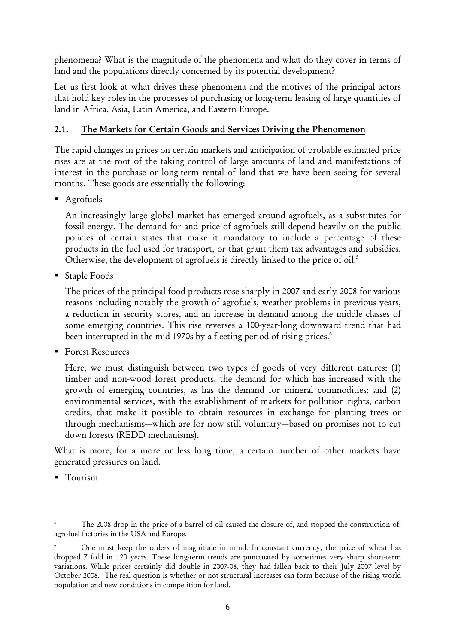phenomena? What is the magnitude of the phenomena and what do they cover in terms of land and the populations directly concerned by its potential development?

Let us first look at what drives these phenomena and the motives of the principal actors that hold key roles in the processes of purchasing or long-term leasing of large quantities of land in Africa, Asia, Latin America, and Eastern Europe.

# 2.1. The Markets for Certain Goods and Services Driving the Phenomenon

The rapid changes in prices on certain markets and anticipation of probable estimated price rises are at the root of the taking control of large amounts of land and manifestations of interest in the purchase or long-term rental of land that we have been seeing for several months. These goods are essentially the following:

**Agrofuels** 

An increasingly large global market has emerged around agrofuels, as a substitutes for fossil energy. The demand for and price of agrofuels still depend heavily on the public policies of certain states that make it mandatory to include a percentage of these products in the fuel used for transport, or that grant them tax advantages and subsidies. Otherwise, the development of agrofuels is directly linked to the price of oil.<sup>5</sup>

Staple Foods

The prices of the principal food products rose sharply in 2007 and early 2008 for various reasons including notably the growth of agrofuels, weather problems in previous years, a reduction in security stores, and an increase in demand among the middle classes of some emerging countries. This rise reverses a 100-year-long downward trend that had been interrupted in the mid-1970s by a fleeting period of rising prices.<sup>6</sup>

■ Forest Resources

Here, we must distinguish between two types of goods of very different natures: (1) timber and non-wood forest products, the demand for which has increased with the growth of emerging countries, as has the demand for mineral commodities; and (2) environmental services, with the establishment of markets for pollution rights, carbon credits, that make it possible to obtain resources in exchange for planting trees or through mechanisms—which are for now still voluntary—based on promises not to cut down forests (REDD mechanisms).

What is more, for a more or less long time, a certain number of other markets have generated pressures on land.

**Tourism** 

<sup>5</sup> The 2008 drop in the price of a barrel of oil caused the closure of, and stopped the construction of, agrofuel factories in the USA and Europe.

<sup>6</sup> One must keep the orders of magnitude in mind. In constant currency, the price of wheat has dropped 7 fold in 120 years. These long-term trends are punctuated by sometimes very sharp short-term variations. While prices certainly did double in 2007-08, they had fallen back to their July 2007 level by October 2008. The real question is whether or not structural increases can form because of the rising world population and new conditions in competition for land.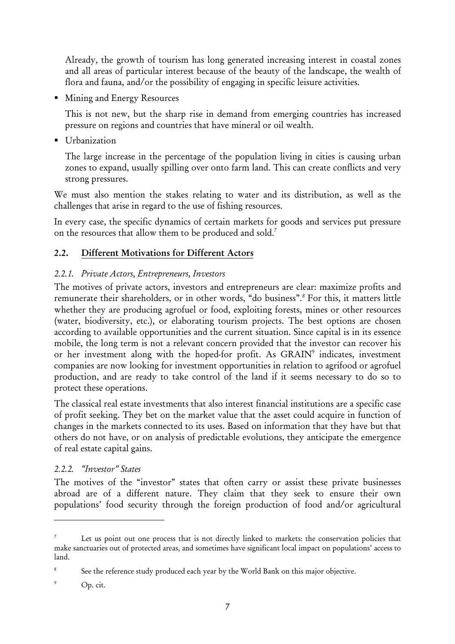Already, the growth of tourism has long generated increasing interest in coastal zones and all areas of particular interest because of the beauty of the landscape, the wealth of flora and fauna, and/or the possibility of engaging in specific leisure activities.

**Mining and Energy Resources** 

This is not new, but the sharp rise in demand from emerging countries has increased pressure on regions and countries that have mineral or oil wealth.

**Urbanization** 

The large increase in the percentage of the population living in cities is causing urban zones to expand, usually spilling over onto farm land. This can create conflicts and very strong pressures.

We must also mention the stakes relating to water and its distribution, as well as the challenges that arise in regard to the use of fishing resources.

In every case, the specific dynamics of certain markets for goods and services put pressure on the resources that allow them to be produced and sold.7

# 2.2. Different Motivations for Different Actors

# *2.2.1. Private Actors, Entrepreneurs, Investors*

The motives of private actors, investors and entrepreneurs are clear: maximize profits and remunerate their shareholders, or in other words, "do business".*<sup>8</sup>* For this, it matters little whether they are producing agrofuel or food, exploiting forests, mines or other resources (water, biodiversity, etc.), or elaborating tourism projects. The best options are chosen according to available opportunities and the current situation. Since capital is in its essence mobile, the long term is not a relevant concern provided that the investor can recover his or her investment along with the hoped-for profit. As GRAIN<sup>9</sup> indicates, investment companies are now looking for investment opportunities in relation to agrifood or agrofuel production, and are ready to take control of the land if it seems necessary to do so to protect these operations.

The classical real estate investments that also interest financial institutions are a specific case of profit seeking. They bet on the market value that the asset could acquire in function of changes in the markets connected to its uses. Based on information that they have but that others do not have, or on analysis of predictable evolutions, they anticipate the emergence of real estate capital gains.

# *2.2.2. "Investor" States*

The motives of the "investor" states that often carry or assist these private businesses abroad are of a different nature. They claim that they seek to ensure their own populations' food security through the foreign production of food and/or agricultural

<sup>7</sup> Let us point out one process that is not directly linked to markets: the conservation policies that make sanctuaries out of protected areas, and sometimes have significant local impact on populations' access to land.

<sup>8</sup> See the reference study produced each year by the World Bank on this major objective.

<sup>9</sup> Op. cit.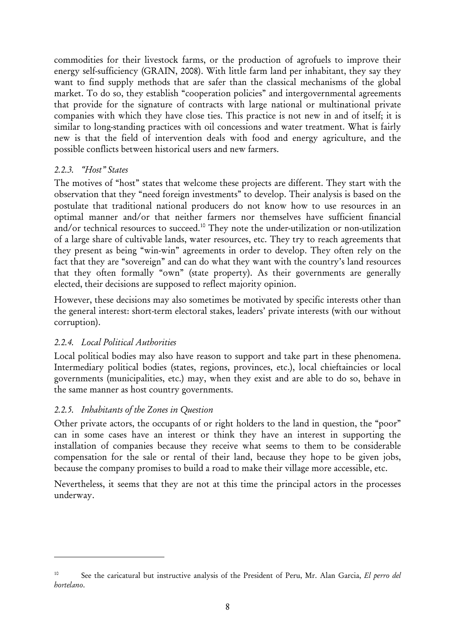commodities for their livestock farms, or the production of agrofuels to improve their energy self-sufficiency (GRAIN, 2008). With little farm land per inhabitant, they say they want to find supply methods that are safer than the classical mechanisms of the global market. To do so, they establish "cooperation policies" and intergovernmental agreements that provide for the signature of contracts with large national or multinational private companies with which they have close ties. This practice is not new in and of itself; it is similar to long-standing practices with oil concessions and water treatment. What is fairly new is that the field of intervention deals with food and energy agriculture, and the possible conflicts between historical users and new farmers.

# *2.2.3. "Host" States*

The motives of "host" states that welcome these projects are different. They start with the observation that they "need foreign investments" to develop. Their analysis is based on the postulate that traditional national producers do not know how to use resources in an optimal manner and/or that neither farmers nor themselves have sufficient financial and/or technical resources to succeed.10 They note the under-utilization or non-utilization of a large share of cultivable lands, water resources, etc. They try to reach agreements that they present as being "win-win" agreements in order to develop. They often rely on the fact that they are "sovereign" and can do what they want with the country's land resources that they often formally "own" (state property). As their governments are generally elected, their decisions are supposed to reflect majority opinion.

However, these decisions may also sometimes be motivated by specific interests other than the general interest: short-term electoral stakes, leaders' private interests (with our without corruption).

#### *2.2.4. Local Political Authorities*

<u>.</u>

Local political bodies may also have reason to support and take part in these phenomena. Intermediary political bodies (states, regions, provinces, etc.), local chieftaincies or local governments (municipalities, etc.) may, when they exist and are able to do so, behave in the same manner as host country governments.

#### *2.2.5. Inhabitants of the Zones in Question*

Other private actors, the occupants of or right holders to the land in question, the "poor" can in some cases have an interest or think they have an interest in supporting the installation of companies because they receive what seems to them to be considerable compensation for the sale or rental of their land, because they hope to be given jobs, because the company promises to build a road to make their village more accessible, etc.

Nevertheless, it seems that they are not at this time the principal actors in the processes underway.

<sup>10</sup> See the caricatural but instructive analysis of the President of Peru, Mr. Alan Garcia, *El perro del hortelano*.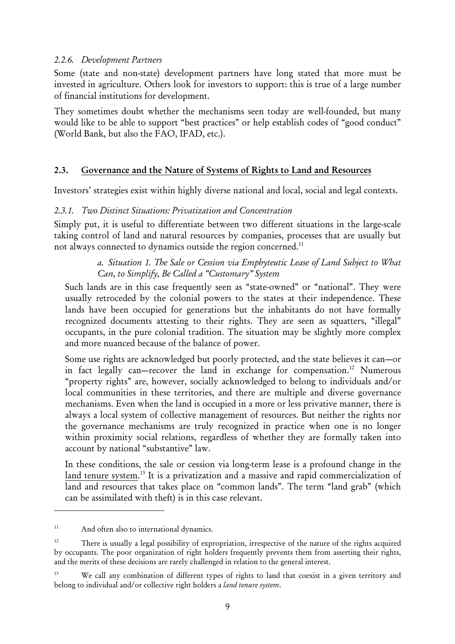#### *2.2.6. Development Partners*

Some (state and non-state) development partners have long stated that more must be invested in agriculture. Others look for investors to support: this is true of a large number of financial institutions for development.

They sometimes doubt whether the mechanisms seen today are well-founded, but many would like to be able to support "best practices" or help establish codes of "good conduct" (World Bank, but also the FAO, IFAD, etc.).

#### 2.3. Governance and the Nature of Systems of Rights to Land and Resources

Investors' strategies exist within highly diverse national and local, social and legal contexts.

#### *2.3.1. Two Distinct Situations: Privatization and Concentration*

Simply put, it is useful to differentiate between two different situations in the large-scale taking control of land and natural resources by companies, processes that are usually but not always connected to dynamics outside the region concerned.<sup>11</sup>

#### *a. Situation 1. The Sale or Cession via Emphyteutic Lease of Land Subject to What Can, to Simplify, Be Called a "Customary" System*

Such lands are in this case frequently seen as "state-owned" or "national". They were usually retroceded by the colonial powers to the states at their independence. These lands have been occupied for generations but the inhabitants do not have formally recognized documents attesting to their rights. They are seen as squatters, "illegal" occupants, in the pure colonial tradition. The situation may be slightly more complex and more nuanced because of the balance of power.

Some use rights are acknowledged but poorly protected, and the state believes it can—or in fact legally can—recover the land in exchange for compensation.<sup>12</sup> Numerous "property rights" are, however, socially acknowledged to belong to individuals and/or local communities in these territories, and there are multiple and diverse governance mechanisms. Even when the land is occupied in a more or less privative manner, there is always a local system of collective management of resources. But neither the rights nor the governance mechanisms are truly recognized in practice when one is no longer within proximity social relations, regardless of whether they are formally taken into account by national "substantive" law.

In these conditions, the sale or cession via long-term lease is a profound change in the land tenure system.<sup>13</sup> It is a privatization and a massive and rapid commercialization of land and resources that takes place on "common lands". The term "land grab" (which can be assimilated with theft) is in this case relevant.

<sup>&</sup>lt;sup>11</sup> And often also to international dynamics.

<sup>&</sup>lt;sup>12</sup> There is usually a legal possibility of expropriation, irrespective of the nature of the rights acquired by occupants. The poor organization of right holders frequently prevents them from asserting their rights, and the merits of these decisions are rarely challenged in relation to the general interest.

<sup>&</sup>lt;sup>13</sup> We call any combination of different types of rights to land that coexist in a given territory and belong to individual and/or collective right holders a *land tenure system*.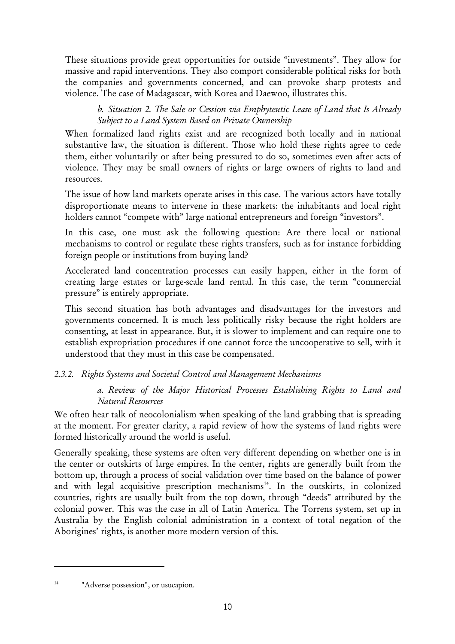These situations provide great opportunities for outside "investments". They allow for massive and rapid interventions. They also comport considerable political risks for both the companies and governments concerned, and can provoke sharp protests and violence. The case of Madagascar, with Korea and Daewoo, illustrates this.

*b. Situation 2. The Sale or Cession via Emphyteutic Lease of Land that Is Already Subject to a Land System Based on Private Ownership* 

When formalized land rights exist and are recognized both locally and in national substantive law, the situation is different. Those who hold these rights agree to cede them, either voluntarily or after being pressured to do so, sometimes even after acts of violence. They may be small owners of rights or large owners of rights to land and resources.

The issue of how land markets operate arises in this case. The various actors have totally disproportionate means to intervene in these markets: the inhabitants and local right holders cannot "compete with" large national entrepreneurs and foreign "investors".

In this case, one must ask the following question: Are there local or national mechanisms to control or regulate these rights transfers, such as for instance forbidding foreign people or institutions from buying land?

Accelerated land concentration processes can easily happen, either in the form of creating large estates or large-scale land rental. In this case, the term "commercial pressure" is entirely appropriate.

This second situation has both advantages and disadvantages for the investors and governments concerned. It is much less politically risky because the right holders are consenting, at least in appearance. But, it is slower to implement and can require one to establish expropriation procedures if one cannot force the uncooperative to sell, with it understood that they must in this case be compensated.

#### *2.3.2. Rights Systems and Societal Control and Management Mechanisms*

*a. Review of the Major Historical Processes Establishing Rights to Land and Natural Resources* 

We often hear talk of neocolonialism when speaking of the land grabbing that is spreading at the moment. For greater clarity, a rapid review of how the systems of land rights were formed historically around the world is useful.

Generally speaking, these systems are often very different depending on whether one is in the center or outskirts of large empires. In the center, rights are generally built from the bottom up, through a process of social validation over time based on the balance of power and with legal acquisitive prescription mechanisms $14$ . In the outskirts, in colonized countries, rights are usually built from the top down, through "deeds" attributed by the colonial power. This was the case in all of Latin America. The Torrens system, set up in Australia by the English colonial administration in a context of total negation of the Aborigines' rights, is another more modern version of this.

<sup>&</sup>lt;sup>14</sup> "Adverse possession", or usucapion.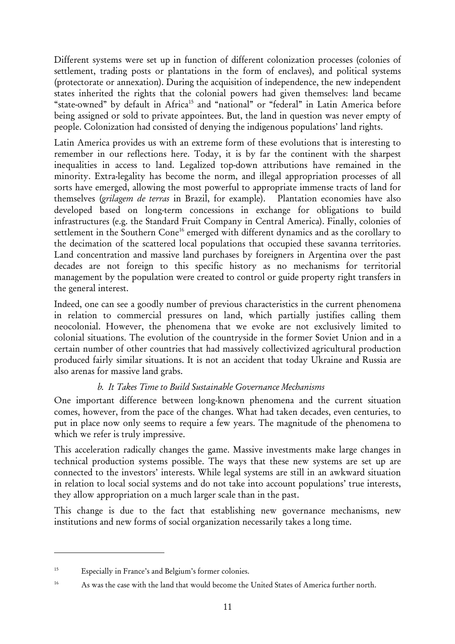Different systems were set up in function of different colonization processes (colonies of settlement, trading posts or plantations in the form of enclaves), and political systems (protectorate or annexation). During the acquisition of independence, the new independent states inherited the rights that the colonial powers had given themselves: land became "state-owned" by default in Africa<sup>15</sup> and "national" or "federal" in Latin America before being assigned or sold to private appointees. But, the land in question was never empty of people. Colonization had consisted of denying the indigenous populations' land rights.

Latin America provides us with an extreme form of these evolutions that is interesting to remember in our reflections here. Today, it is by far the continent with the sharpest inequalities in access to land. Legalized top-down attributions have remained in the minority. Extra-legality has become the norm, and illegal appropriation processes of all sorts have emerged, allowing the most powerful to appropriate immense tracts of land for themselves (*grilagem de terras* in Brazil, for example). Plantation economies have also developed based on long-term concessions in exchange for obligations to build infrastructures (e.g. the Standard Fruit Company in Central America). Finally, colonies of settlement in the Southern Cone<sup>16</sup> emerged with different dynamics and as the corollary to the decimation of the scattered local populations that occupied these savanna territories. Land concentration and massive land purchases by foreigners in Argentina over the past decades are not foreign to this specific history as no mechanisms for territorial management by the population were created to control or guide property right transfers in the general interest.

Indeed, one can see a goodly number of previous characteristics in the current phenomena in relation to commercial pressures on land, which partially justifies calling them neocolonial. However, the phenomena that we evoke are not exclusively limited to colonial situations. The evolution of the countryside in the former Soviet Union and in a certain number of other countries that had massively collectivized agricultural production produced fairly similar situations. It is not an accident that today Ukraine and Russia are also arenas for massive land grabs.

#### *b. It Takes Time to Build Sustainable Governance Mechanisms*

One important difference between long-known phenomena and the current situation comes, however, from the pace of the changes. What had taken decades, even centuries, to put in place now only seems to require a few years. The magnitude of the phenomena to which we refer is truly impressive.

This acceleration radically changes the game. Massive investments make large changes in technical production systems possible. The ways that these new systems are set up are connected to the investors' interests. While legal systems are still in an awkward situation in relation to local social systems and do not take into account populations' true interests, they allow appropriation on a much larger scale than in the past.

This change is due to the fact that establishing new governance mechanisms, new institutions and new forms of social organization necessarily takes a long time.

<sup>15</sup> Especially in France's and Belgium's former colonies.

<sup>&</sup>lt;sup>16</sup> As was the case with the land that would become the United States of America further north.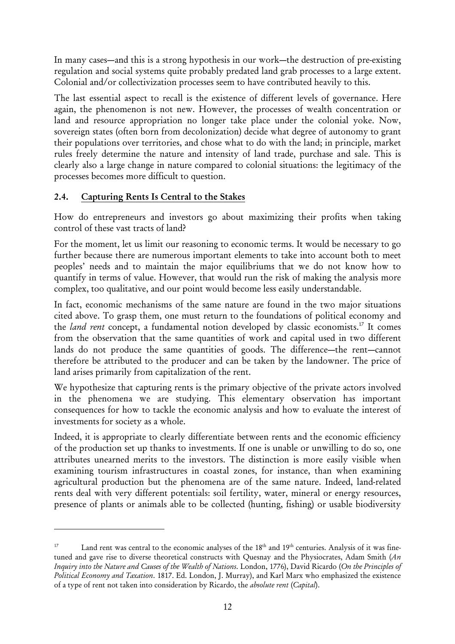In many cases—and this is a strong hypothesis in our work—the destruction of pre-existing regulation and social systems quite probably predated land grab processes to a large extent. Colonial and/or collectivization processes seem to have contributed heavily to this.

The last essential aspect to recall is the existence of different levels of governance. Here again, the phenomenon is not new. However, the processes of wealth concentration or land and resource appropriation no longer take place under the colonial yoke. Now, sovereign states (often born from decolonization) decide what degree of autonomy to grant their populations over territories, and chose what to do with the land; in principle, market rules freely determine the nature and intensity of land trade, purchase and sale. This is clearly also a large change in nature compared to colonial situations: the legitimacy of the processes becomes more difficult to question.

# 2.4. Capturing Rents Is Central to the Stakes

<u>.</u>

How do entrepreneurs and investors go about maximizing their profits when taking control of these vast tracts of land?

For the moment, let us limit our reasoning to economic terms. It would be necessary to go further because there are numerous important elements to take into account both to meet peoples' needs and to maintain the major equilibriums that we do not know how to quantify in terms of value. However, that would run the risk of making the analysis more complex, too qualitative, and our point would become less easily understandable.

In fact, economic mechanisms of the same nature are found in the two major situations cited above. To grasp them, one must return to the foundations of political economy and the *land rent* concept, a fundamental notion developed by classic economists.17 It comes from the observation that the same quantities of work and capital used in two different lands do not produce the same quantities of goods. The difference—the rent—cannot therefore be attributed to the producer and can be taken by the landowner. The price of land arises primarily from capitalization of the rent.

We hypothesize that capturing rents is the primary objective of the private actors involved in the phenomena we are studying. This elementary observation has important consequences for how to tackle the economic analysis and how to evaluate the interest of investments for society as a whole.

Indeed, it is appropriate to clearly differentiate between rents and the economic efficiency of the production set up thanks to investments. If one is unable or unwilling to do so, one attributes unearned merits to the investors. The distinction is more easily visible when examining tourism infrastructures in coastal zones, for instance, than when examining agricultural production but the phenomena are of the same nature. Indeed, land-related rents deal with very different potentials: soil fertility, water, mineral or energy resources, presence of plants or animals able to be collected (hunting, fishing) or usable biodiversity

Land rent was central to the economic analyses of the 18<sup>th</sup> and 19<sup>th</sup> centuries. Analysis of it was finetuned and gave rise to diverse theoretical constructs with Quesnay and the Physiocrates, Adam Smith (*An Inquiry into the Nature and Causes of the Wealth of Nations*. London, 1776), David Ricardo (*On the Principles of Political Economy and Taxation*. 1817. Ed. London, J. Murray), and Karl Marx who emphasized the existence of a type of rent not taken into consideration by Ricardo, the *absolute rent* (*Capital*).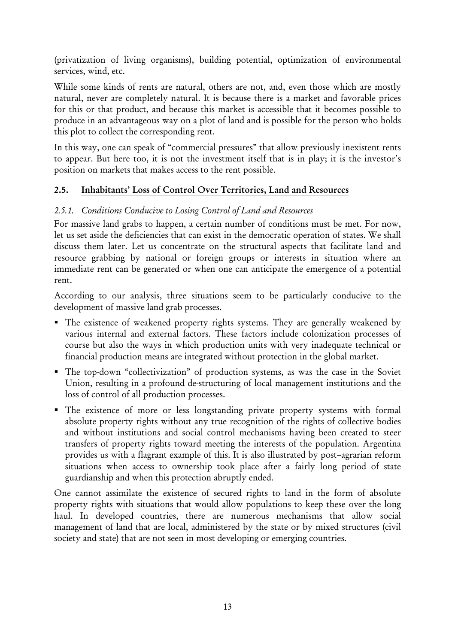(privatization of living organisms), building potential, optimization of environmental services, wind, etc.

While some kinds of rents are natural, others are not, and, even those which are mostly natural, never are completely natural. It is because there is a market and favorable prices for this or that product, and because this market is accessible that it becomes possible to produce in an advantageous way on a plot of land and is possible for the person who holds this plot to collect the corresponding rent.

In this way, one can speak of "commercial pressures" that allow previously inexistent rents to appear. But here too, it is not the investment itself that is in play; it is the investor's position on markets that makes access to the rent possible.

# 2.5. Inhabitants' Loss of Control Over Territories, Land and Resources

# *2.5.1. Conditions Conducive to Losing Control of Land and Resources*

For massive land grabs to happen, a certain number of conditions must be met. For now, let us set aside the deficiencies that can exist in the democratic operation of states. We shall discuss them later. Let us concentrate on the structural aspects that facilitate land and resource grabbing by national or foreign groups or interests in situation where an immediate rent can be generated or when one can anticipate the emergence of a potential rent.

According to our analysis, three situations seem to be particularly conducive to the development of massive land grab processes.

- The existence of weakened property rights systems. They are generally weakened by various internal and external factors. These factors include colonization processes of course but also the ways in which production units with very inadequate technical or financial production means are integrated without protection in the global market.
- The top-down "collectivization" of production systems, as was the case in the Soviet Union, resulting in a profound de-structuring of local management institutions and the loss of control of all production processes.
- The existence of more or less longstanding private property systems with formal absolute property rights without any true recognition of the rights of collective bodies and without institutions and social control mechanisms having been created to steer transfers of property rights toward meeting the interests of the population. Argentina provides us with a flagrant example of this. It is also illustrated by post–agrarian reform situations when access to ownership took place after a fairly long period of state guardianship and when this protection abruptly ended.

One cannot assimilate the existence of secured rights to land in the form of absolute property rights with situations that would allow populations to keep these over the long haul. In developed countries, there are numerous mechanisms that allow social management of land that are local, administered by the state or by mixed structures (civil society and state) that are not seen in most developing or emerging countries.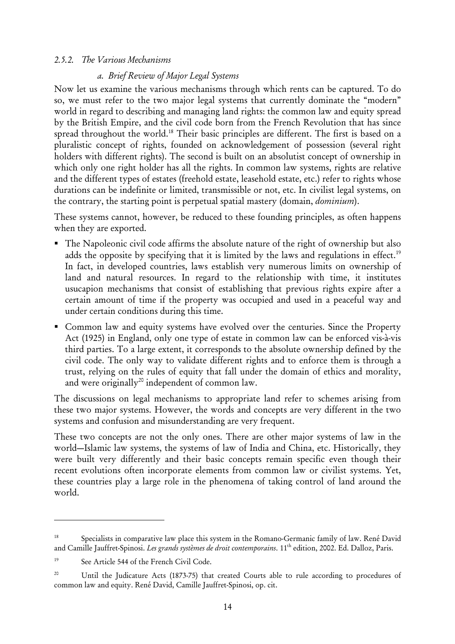#### *2.5.2. The Various Mechanisms*

#### *a. Brief Review of Major Legal Systems*

Now let us examine the various mechanisms through which rents can be captured. To do so, we must refer to the two major legal systems that currently dominate the "modern" world in regard to describing and managing land rights: the common law and equity spread by the British Empire, and the civil code born from the French Revolution that has since spread throughout the world.<sup>18</sup> Their basic principles are different. The first is based on a pluralistic concept of rights, founded on acknowledgement of possession (several right holders with different rights). The second is built on an absolutist concept of ownership in which only one right holder has all the rights. In common law systems, rights are relative and the different types of estates (freehold estate, leasehold estate, etc.) refer to rights whose durations can be indefinite or limited, transmissible or not, etc. In civilist legal systems, on the contrary, the starting point is perpetual spatial mastery (domain, *dominium*).

These systems cannot, however, be reduced to these founding principles, as often happens when they are exported.

- The Napoleonic civil code affirms the absolute nature of the right of ownership but also adds the opposite by specifying that it is limited by the laws and regulations in effect.<sup>19</sup> In fact, in developed countries, laws establish very numerous limits on ownership of land and natural resources. In regard to the relationship with time, it institutes usucapion mechanisms that consist of establishing that previous rights expire after a certain amount of time if the property was occupied and used in a peaceful way and under certain conditions during this time.
- Common law and equity systems have evolved over the centuries. Since the Property Act (1925) in England, only one type of estate in common law can be enforced vis-à-vis third parties. To a large extent, it corresponds to the absolute ownership defined by the civil code. The only way to validate different rights and to enforce them is through a trust, relying on the rules of equity that fall under the domain of ethics and morality, and were originally<sup>20</sup> independent of common law.

The discussions on legal mechanisms to appropriate land refer to schemes arising from these two major systems. However, the words and concepts are very different in the two systems and confusion and misunderstanding are very frequent.

These two concepts are not the only ones. There are other major systems of law in the world—Islamic law systems, the systems of law of India and China, etc. Historically, they were built very differently and their basic concepts remain specific even though their recent evolutions often incorporate elements from common law or civilist systems. Yet, these countries play a large role in the phenomena of taking control of land around the world.

<sup>18</sup> Specialists in comparative law place this system in the Romano-Germanic family of law. René David and Camille Jauffret-Spinosi. *Les grands systèmes de droit contemporains*. 11th edition, 2002. Ed. Dalloz, Paris.

<sup>&</sup>lt;sup>19</sup> See Article 544 of the French Civil Code.

<sup>&</sup>lt;sup>20</sup> Until the Judicature Acts (1873-75) that created Courts able to rule according to procedures of common law and equity. René David, Camille Jauffret-Spinosi, op. cit.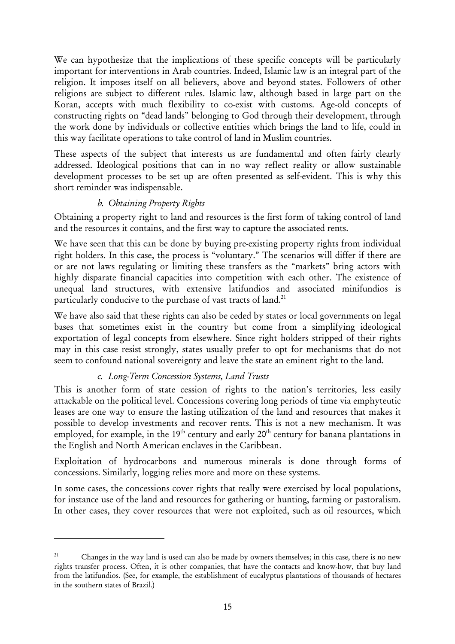We can hypothesize that the implications of these specific concepts will be particularly important for interventions in Arab countries. Indeed, Islamic law is an integral part of the religion. It imposes itself on all believers, above and beyond states. Followers of other religions are subject to different rules. Islamic law, although based in large part on the Koran, accepts with much flexibility to co-exist with customs. Age-old concepts of constructing rights on "dead lands" belonging to God through their development, through the work done by individuals or collective entities which brings the land to life, could in this way facilitate operations to take control of land in Muslim countries.

These aspects of the subject that interests us are fundamental and often fairly clearly addressed. Ideological positions that can in no way reflect reality or allow sustainable development processes to be set up are often presented as self-evident. This is why this short reminder was indispensable.

# *b. Obtaining Property Rights*

Obtaining a property right to land and resources is the first form of taking control of land and the resources it contains, and the first way to capture the associated rents.

We have seen that this can be done by buying pre-existing property rights from individual right holders. In this case, the process is "voluntary." The scenarios will differ if there are or are not laws regulating or limiting these transfers as the "markets" bring actors with highly disparate financial capacities into competition with each other. The existence of unequal land structures, with extensive latifundios and associated minifundios is particularly conducive to the purchase of vast tracts of land.<sup>21</sup>

We have also said that these rights can also be ceded by states or local governments on legal bases that sometimes exist in the country but come from a simplifying ideological exportation of legal concepts from elsewhere. Since right holders stripped of their rights may in this case resist strongly, states usually prefer to opt for mechanisms that do not seem to confound national sovereignty and leave the state an eminent right to the land.

# *c. Long-Term Concession Systems, Land Trusts*

<u>.</u>

This is another form of state cession of rights to the nation's territories, less easily attackable on the political level. Concessions covering long periods of time via emphyteutic leases are one way to ensure the lasting utilization of the land and resources that makes it possible to develop investments and recover rents. This is not a new mechanism. It was employed, for example, in the  $19<sup>th</sup>$  century and early  $20<sup>th</sup>$  century for banana plantations in the English and North American enclaves in the Caribbean.

Exploitation of hydrocarbons and numerous minerals is done through forms of concessions. Similarly, logging relies more and more on these systems.

In some cases, the concessions cover rights that really were exercised by local populations, for instance use of the land and resources for gathering or hunting, farming or pastoralism. In other cases, they cover resources that were not exploited, such as oil resources, which

<sup>&</sup>lt;sup>21</sup> Changes in the way land is used can also be made by owners themselves; in this case, there is no new rights transfer process. Often, it is other companies, that have the contacts and know-how, that buy land from the latifundios. (See, for example, the establishment of eucalyptus plantations of thousands of hectares in the southern states of Brazil.)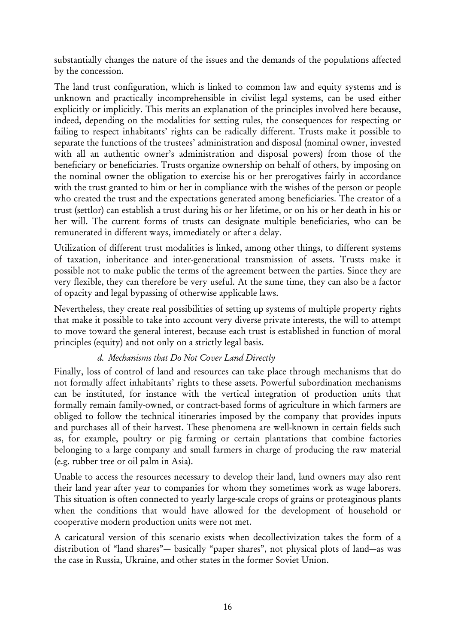substantially changes the nature of the issues and the demands of the populations affected by the concession.

The land trust configuration, which is linked to common law and equity systems and is unknown and practically incomprehensible in civilist legal systems, can be used either explicitly or implicitly. This merits an explanation of the principles involved here because, indeed, depending on the modalities for setting rules, the consequences for respecting or failing to respect inhabitants' rights can be radically different. Trusts make it possible to separate the functions of the trustees' administration and disposal (nominal owner, invested with all an authentic owner's administration and disposal powers) from those of the beneficiary or beneficiaries. Trusts organize ownership on behalf of others, by imposing on the nominal owner the obligation to exercise his or her prerogatives fairly in accordance with the trust granted to him or her in compliance with the wishes of the person or people who created the trust and the expectations generated among beneficiaries. The creator of a trust (settlor) can establish a trust during his or her lifetime, or on his or her death in his or her will. The current forms of trusts can designate multiple beneficiaries, who can be remunerated in different ways, immediately or after a delay.

Utilization of different trust modalities is linked, among other things, to different systems of taxation, inheritance and inter-generational transmission of assets. Trusts make it possible not to make public the terms of the agreement between the parties. Since they are very flexible, they can therefore be very useful. At the same time, they can also be a factor of opacity and legal bypassing of otherwise applicable laws.

Nevertheless, they create real possibilities of setting up systems of multiple property rights that make it possible to take into account very diverse private interests, the will to attempt to move toward the general interest, because each trust is established in function of moral principles (equity) and not only on a strictly legal basis.

#### *d. Mechanisms that Do Not Cover Land Directly*

Finally, loss of control of land and resources can take place through mechanisms that do not formally affect inhabitants' rights to these assets. Powerful subordination mechanisms can be instituted, for instance with the vertical integration of production units that formally remain family-owned, or contract-based forms of agriculture in which farmers are obliged to follow the technical itineraries imposed by the company that provides inputs and purchases all of their harvest. These phenomena are well-known in certain fields such as, for example, poultry or pig farming or certain plantations that combine factories belonging to a large company and small farmers in charge of producing the raw material (e.g. rubber tree or oil palm in Asia).

Unable to access the resources necessary to develop their land, land owners may also rent their land year after year to companies for whom they sometimes work as wage laborers. This situation is often connected to yearly large-scale crops of grains or proteaginous plants when the conditions that would have allowed for the development of household or cooperative modern production units were not met.

A caricatural version of this scenario exists when decollectivization takes the form of a distribution of "land shares"— basically "paper shares", not physical plots of land—as was the case in Russia, Ukraine, and other states in the former Soviet Union.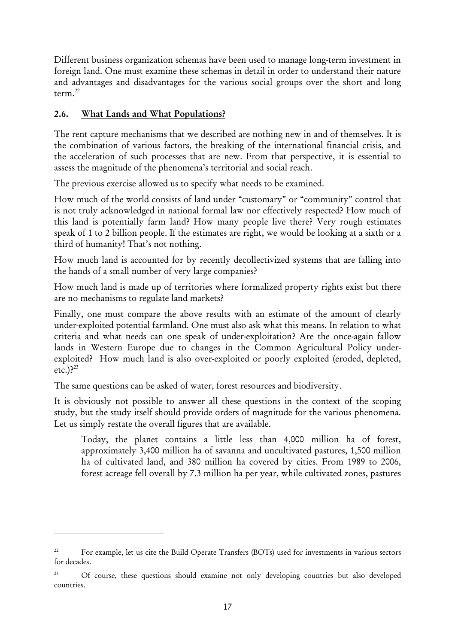Different business organization schemas have been used to manage long-term investment in foreign land. One must examine these schemas in detail in order to understand their nature and advantages and disadvantages for the various social groups over the short and long term.<sup>22</sup>

# 2.6. What Lands and What Populations?

<u>.</u>

The rent capture mechanisms that we described are nothing new in and of themselves. It is the combination of various factors, the breaking of the international financial crisis, and the acceleration of such processes that are new. From that perspective, it is essential to assess the magnitude of the phenomena's territorial and social reach.

The previous exercise allowed us to specify what needs to be examined.

How much of the world consists of land under "customary" or "community" control that is not truly acknowledged in national formal law nor effectively respected? How much of this land is potentially farm land? How many people live there? Very rough estimates speak of 1 to 2 billion people. If the estimates are right, we would be looking at a sixth or a third of humanity! That's not nothing.

How much land is accounted for by recently decollectivized systems that are falling into the hands of a small number of very large companies?

How much land is made up of territories where formalized property rights exist but there are no mechanisms to regulate land markets?

Finally, one must compare the above results with an estimate of the amount of clearly under-exploited potential farmland. One must also ask what this means. In relation to what criteria and what needs can one speak of under-exploitation? Are the once-again fallow lands in Western Europe due to changes in the Common Agricultural Policy underexploited? How much land is also over-exploited or poorly exploited (eroded, depleted, etc.)? $^{23}$ 

The same questions can be asked of water, forest resources and biodiversity.

It is obviously not possible to answer all these questions in the context of the scoping study, but the study itself should provide orders of magnitude for the various phenomena. Let us simply restate the overall figures that are available.

Today, the planet contains a little less than 4,000 million ha of forest, approximately 3,400 million ha of savanna and uncultivated pastures, 1,500 million ha of cultivated land, and 380 million ha covered by cities. From 1989 to 2006, forest acreage fell overall by 7.3 million ha per year, while cultivated zones, pastures

<sup>&</sup>lt;sup>22</sup> For example, let us cite the Build Operate Transfers (BOTs) used for investments in various sectors for decades.

<sup>&</sup>lt;sup>23</sup> Of course, these questions should examine not only developing countries but also developed countries.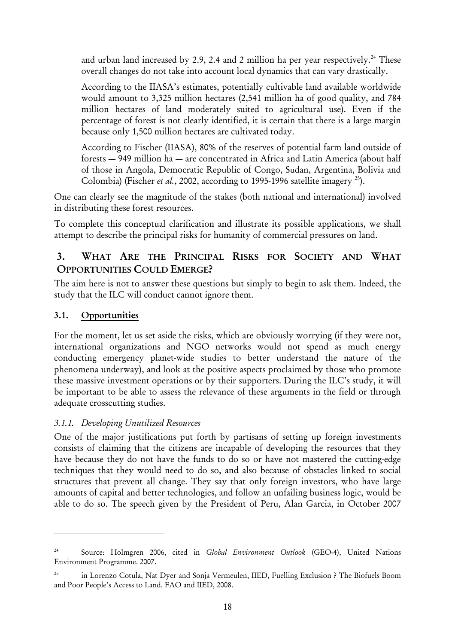and urban land increased by 2.9, 2.4 and 2 million ha per year respectively.<sup>24</sup> These overall changes do not take into account local dynamics that can vary drastically.

According to the IIASA's estimates, potentially cultivable land available worldwide would amount to 3,325 million hectares (2,541 million ha of good quality, and 784 million hectares of land moderately suited to agricultural use). Even if the percentage of forest is not clearly identified, it is certain that there is a large margin because only 1,500 million hectares are cultivated today.

According to Fischer (IIASA), 80% of the reserves of potential farm land outside of forests — 949 million ha — are concentrated in Africa and Latin America (about half of those in Angola, Democratic Republic of Congo, Sudan, Argentina, Bolivia and Colombia) (Fischer *et al.*, 2002, according to 1995-1996 satellite imagery <sup>25</sup>).

One can clearly see the magnitude of the stakes (both national and international) involved in distributing these forest resources.

To complete this conceptual clarification and illustrate its possible applications, we shall attempt to describe the principal risks for humanity of commercial pressures on land.

# 3. WHAT ARE THE PRINCIPAL RISKS FOR SOCIETY AND WHAT OPPORTUNITIES COULD EMERGE?

The aim here is not to answer these questions but simply to begin to ask them. Indeed, the study that the ILC will conduct cannot ignore them.

# 3.1. Opportunities

<u>.</u>

For the moment, let us set aside the risks, which are obviously worrying (if they were not, international organizations and NGO networks would not spend as much energy conducting emergency planet-wide studies to better understand the nature of the phenomena underway), and look at the positive aspects proclaimed by those who promote these massive investment operations or by their supporters. During the ILC's study, it will be important to be able to assess the relevance of these arguments in the field or through adequate crosscutting studies.

#### *3.1.1. Developing Unutilized Resources*

One of the major justifications put forth by partisans of setting up foreign investments consists of claiming that the citizens are incapable of developing the resources that they have because they do not have the funds to do so or have not mastered the cutting-edge techniques that they would need to do so, and also because of obstacles linked to social structures that prevent all change. They say that only foreign investors, who have large amounts of capital and better technologies, and follow an unfailing business logic, would be able to do so. The speech given by the President of Peru, Alan Garcia, in October 2007

<sup>24</sup> Source: Holmgren 2006, cited in *Global Environment Outlook* (GEO-4), United Nations Environment Programme. 2007.

<sup>&</sup>lt;sup>25</sup> in Lorenzo Cotula, Nat Dyer and Sonja Vermeulen, IIED, Fuelling Exclusion ? The Biofuels Boom and Poor People's Access to Land. FAO and IIED, 2008.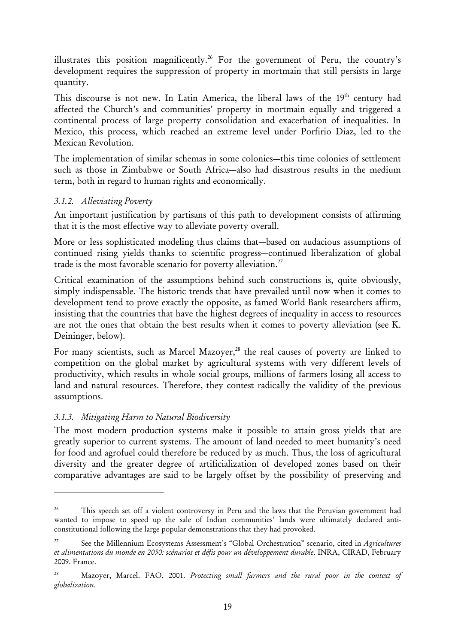illustrates this position magnificently.<sup>26</sup> For the government of Peru, the country's development requires the suppression of property in mortmain that still persists in large quantity.

This discourse is not new. In Latin America, the liberal laws of the 19<sup>th</sup> century had affected the Church's and communities' property in mortmain equally and triggered a continental process of large property consolidation and exacerbation of inequalities. In Mexico, this process, which reached an extreme level under Porfirio Diaz, led to the Mexican Revolution.

The implementation of similar schemas in some colonies—this time colonies of settlement such as those in Zimbabwe or South Africa—also had disastrous results in the medium term, both in regard to human rights and economically.

#### *3.1.2. Alleviating Poverty*

An important justification by partisans of this path to development consists of affirming that it is the most effective way to alleviate poverty overall.

More or less sophisticated modeling thus claims that—based on audacious assumptions of continued rising yields thanks to scientific progress—continued liberalization of global trade is the most favorable scenario for poverty alleviation.<sup>27</sup>

Critical examination of the assumptions behind such constructions is, quite obviously, simply indispensable. The historic trends that have prevailed until now when it comes to development tend to prove exactly the opposite, as famed World Bank researchers affirm, insisting that the countries that have the highest degrees of inequality in access to resources are not the ones that obtain the best results when it comes to poverty alleviation (see K. Deininger, below).

For many scientists, such as Marcel Mazoyer,<sup>28</sup> the real causes of poverty are linked to competition on the global market by agricultural systems with very different levels of productivity, which results in whole social groups, millions of farmers losing all access to land and natural resources. Therefore, they contest radically the validity of the previous assumptions.

# *3.1.3. Mitigating Harm to Natural Biodiversity*

<u>.</u>

The most modern production systems make it possible to attain gross yields that are greatly superior to current systems. The amount of land needed to meet humanity's need for food and agrofuel could therefore be reduced by as much. Thus, the loss of agricultural diversity and the greater degree of artificialization of developed zones based on their comparative advantages are said to be largely offset by the possibility of preserving and

<sup>&</sup>lt;sup>26</sup> This speech set off a violent controversy in Peru and the laws that the Peruvian government had wanted to impose to speed up the sale of Indian communities' lands were ultimately declared anticonstitutional following the large popular demonstrations that they had provoked.

<sup>27</sup> See the Millennium Ecosystems Assessment's "Global Orchestration" scenario, cited in *Agricultures et alimentations du monde en 2050: scénarios et défis pour un développement durable*. INRA, CIRAD, February 2009. France.

<sup>28</sup> Mazoyer, Marcel. FAO, 2001. *Protecting small farmers and the rural poor in the context of globalization*.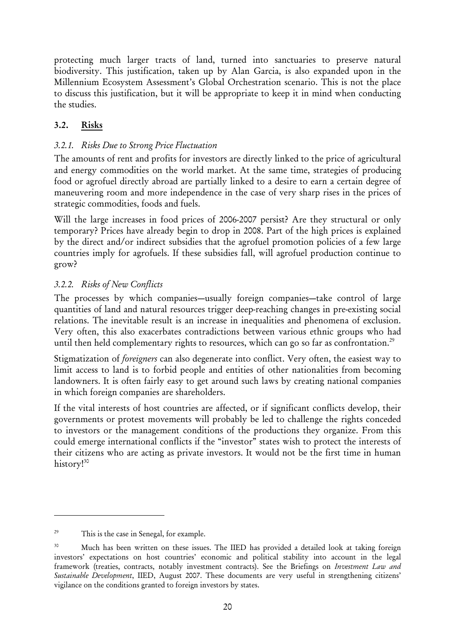protecting much larger tracts of land, turned into sanctuaries to preserve natural biodiversity. This justification, taken up by Alan Garcia, is also expanded upon in the Millennium Ecosystem Assessment's Global Orchestration scenario. This is not the place to discuss this justification, but it will be appropriate to keep it in mind when conducting the studies.

# 3.2. Risks

# *3.2.1. Risks Due to Strong Price Fluctuation*

The amounts of rent and profits for investors are directly linked to the price of agricultural and energy commodities on the world market. At the same time, strategies of producing food or agrofuel directly abroad are partially linked to a desire to earn a certain degree of maneuvering room and more independence in the case of very sharp rises in the prices of strategic commodities, foods and fuels.

Will the large increases in food prices of 2006-2007 persist? Are they structural or only temporary? Prices have already begin to drop in 2008. Part of the high prices is explained by the direct and/or indirect subsidies that the agrofuel promotion policies of a few large countries imply for agrofuels. If these subsidies fall, will agrofuel production continue to grow?

# *3.2.2. Risks of New Conflicts*

The processes by which companies—usually foreign companies—take control of large quantities of land and natural resources trigger deep-reaching changes in pre-existing social relations. The inevitable result is an increase in inequalities and phenomena of exclusion. Very often, this also exacerbates contradictions between various ethnic groups who had until then held complementary rights to resources, which can go so far as confrontation.<sup>29</sup>

Stigmatization of *foreigners* can also degenerate into conflict. Very often, the easiest way to limit access to land is to forbid people and entities of other nationalities from becoming landowners. It is often fairly easy to get around such laws by creating national companies in which foreign companies are shareholders.

If the vital interests of host countries are affected, or if significant conflicts develop, their governments or protest movements will probably be led to challenge the rights conceded to investors or the management conditions of the productions they organize. From this could emerge international conflicts if the "investor" states wish to protect the interests of their citizens who are acting as private investors. It would not be the first time in human history!<sup>30</sup>

<sup>&</sup>lt;sup>29</sup> This is the case in Senegal, for example.

<sup>&</sup>lt;sup>30</sup> Much has been written on these issues. The IIED has provided a detailed look at taking foreign investors' expectations on host countries' economic and political stability into account in the legal framework (treaties, contracts, notably investment contracts). See the Briefings on *Investment Law and Sustainable Development*, IIED, August 2007. These documents are very useful in strengthening citizens' vigilance on the conditions granted to foreign investors by states.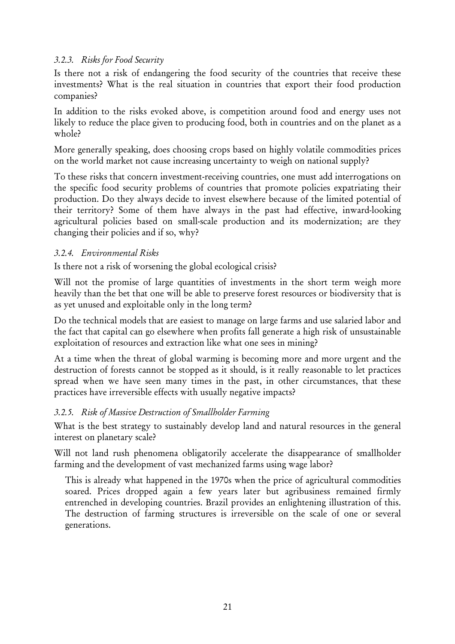#### *3.2.3. Risks for Food Security*

Is there not a risk of endangering the food security of the countries that receive these investments? What is the real situation in countries that export their food production companies?

In addition to the risks evoked above, is competition around food and energy uses not likely to reduce the place given to producing food, both in countries and on the planet as a whole?

More generally speaking, does choosing crops based on highly volatile commodities prices on the world market not cause increasing uncertainty to weigh on national supply?

To these risks that concern investment-receiving countries, one must add interrogations on the specific food security problems of countries that promote policies expatriating their production. Do they always decide to invest elsewhere because of the limited potential of their territory? Some of them have always in the past had effective, inward-looking agricultural policies based on small-scale production and its modernization; are they changing their policies and if so, why?

#### *3.2.4. Environmental Risks*

Is there not a risk of worsening the global ecological crisis?

Will not the promise of large quantities of investments in the short term weigh more heavily than the bet that one will be able to preserve forest resources or biodiversity that is as yet unused and exploitable only in the long term?

Do the technical models that are easiest to manage on large farms and use salaried labor and the fact that capital can go elsewhere when profits fall generate a high risk of unsustainable exploitation of resources and extraction like what one sees in mining?

At a time when the threat of global warming is becoming more and more urgent and the destruction of forests cannot be stopped as it should, is it really reasonable to let practices spread when we have seen many times in the past, in other circumstances, that these practices have irreversible effects with usually negative impacts?

#### *3.2.5. Risk of Massive Destruction of Smallholder Farming*

What is the best strategy to sustainably develop land and natural resources in the general interest on planetary scale?

Will not land rush phenomena obligatorily accelerate the disappearance of smallholder farming and the development of vast mechanized farms using wage labor?

This is already what happened in the 1970s when the price of agricultural commodities soared. Prices dropped again a few years later but agribusiness remained firmly entrenched in developing countries. Brazil provides an enlightening illustration of this. The destruction of farming structures is irreversible on the scale of one or several generations.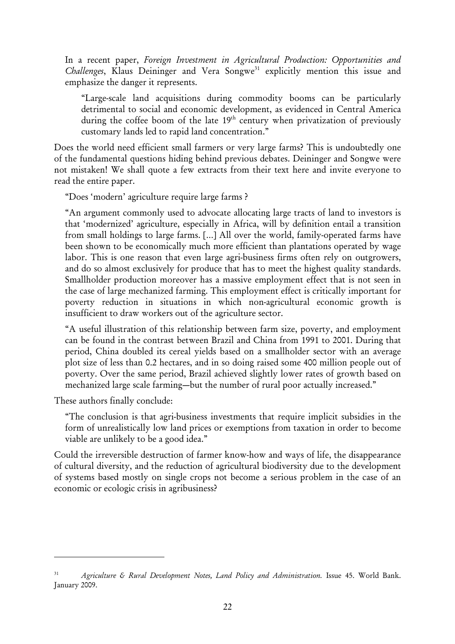In a recent paper, *Foreign Investment in Agricultural Production: Opportunities and Challenges*, Klaus Deininger and Vera Songwe<sup>31</sup> explicitly mention this issue and emphasize the danger it represents.

"Large-scale land acquisitions during commodity booms can be particularly detrimental to social and economic development, as evidenced in Central America during the coffee boom of the late  $19<sup>th</sup>$  century when privatization of previously customary lands led to rapid land concentration."

Does the world need efficient small farmers or very large farms? This is undoubtedly one of the fundamental questions hiding behind previous debates. Deininger and Songwe were not mistaken! We shall quote a few extracts from their text here and invite everyone to read the entire paper.

"Does 'modern' agriculture require large farms ?

"An argument commonly used to advocate allocating large tracts of land to investors is that 'modernized' agriculture, especially in Africa, will by definition entail a transition from small holdings to large farms. […] All over the world, family-operated farms have been shown to be economically much more efficient than plantations operated by wage labor. This is one reason that even large agri-business firms often rely on outgrowers, and do so almost exclusively for produce that has to meet the highest quality standards. Smallholder production moreover has a massive employment effect that is not seen in the case of large mechanized farming. This employment effect is critically important for poverty reduction in situations in which non-agricultural economic growth is insufficient to draw workers out of the agriculture sector.

"A useful illustration of this relationship between farm size, poverty, and employment can be found in the contrast between Brazil and China from 1991 to 2001. During that period, China doubled its cereal yields based on a smallholder sector with an average plot size of less than 0.2 hectares, and in so doing raised some 400 million people out of poverty. Over the same period, Brazil achieved slightly lower rates of growth based on mechanized large scale farming—but the number of rural poor actually increased."

These authors finally conclude:

<u>.</u>

"The conclusion is that agri-business investments that require implicit subsidies in the form of unrealistically low land prices or exemptions from taxation in order to become viable are unlikely to be a good idea."

Could the irreversible destruction of farmer know-how and ways of life, the disappearance of cultural diversity, and the reduction of agricultural biodiversity due to the development of systems based mostly on single crops not become a serious problem in the case of an economic or ecologic crisis in agribusiness?

<sup>31</sup> *Agriculture & Rural Development Notes, Land Policy and Administration.* Issue 45. World Bank. January 2009.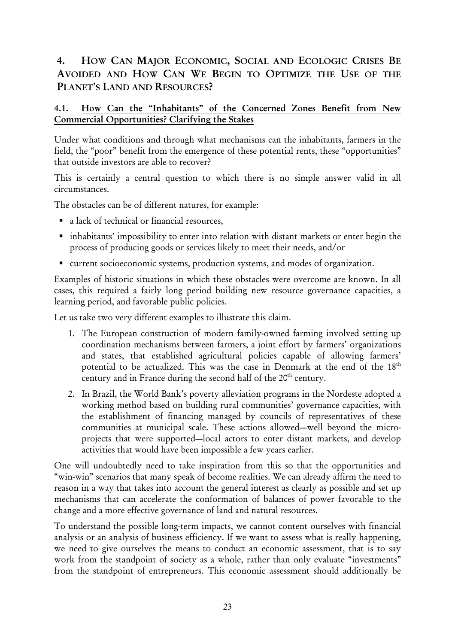# 4. HOW CAN MAJOR ECONOMIC, SOCIAL AND ECOLOGIC CRISES BE AVOIDED AND HOW CAN WE BEGIN TO OPTIMIZE THE USE OF THE PLANET'S LAND AND RESOURCES?

# 4.1. How Can the "Inhabitants" of the Concerned Zones Benefit from New Commercial Opportunities? Clarifying the Stakes

Under what conditions and through what mechanisms can the inhabitants, farmers in the field, the "poor" benefit from the emergence of these potential rents, these "opportunities" that outside investors are able to recover?

This is certainly a central question to which there is no simple answer valid in all circumstances.

The obstacles can be of different natures, for example:

- a lack of technical or financial resources,
- inhabitants' impossibility to enter into relation with distant markets or enter begin the process of producing goods or services likely to meet their needs, and/or
- current socioeconomic systems, production systems, and modes of organization.

Examples of historic situations in which these obstacles were overcome are known. In all cases, this required a fairly long period building new resource governance capacities, a learning period, and favorable public policies.

Let us take two very different examples to illustrate this claim.

- 1. The European construction of modern family-owned farming involved setting up coordination mechanisms between farmers, a joint effort by farmers' organizations and states, that established agricultural policies capable of allowing farmers' potential to be actualized. This was the case in Denmark at the end of the 18<sup>th</sup> century and in France during the second half of the  $20<sup>th</sup>$  century.
- 2. In Brazil, the World Bank's poverty alleviation programs in the Nordeste adopted a working method based on building rural communities' governance capacities, with the establishment of financing managed by councils of representatives of these communities at municipal scale. These actions allowed—well beyond the microprojects that were supported—local actors to enter distant markets, and develop activities that would have been impossible a few years earlier.

One will undoubtedly need to take inspiration from this so that the opportunities and "win-win" scenarios that many speak of become realities. We can already affirm the need to reason in a way that takes into account the general interest as clearly as possible and set up mechanisms that can accelerate the conformation of balances of power favorable to the change and a more effective governance of land and natural resources.

To understand the possible long-term impacts, we cannot content ourselves with financial analysis or an analysis of business efficiency. If we want to assess what is really happening, we need to give ourselves the means to conduct an economic assessment, that is to say work from the standpoint of society as a whole, rather than only evaluate "investments" from the standpoint of entrepreneurs. This economic assessment should additionally be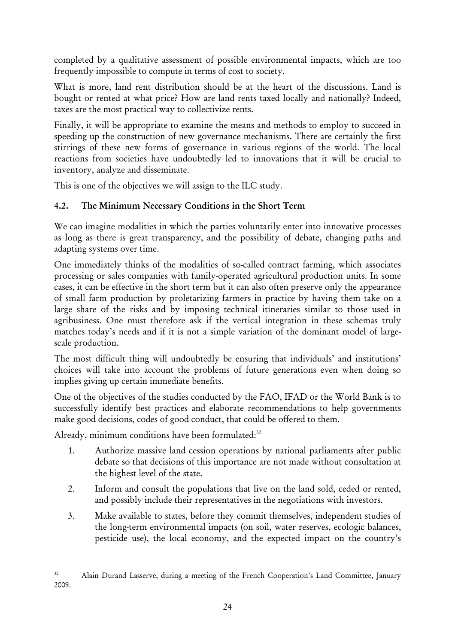completed by a qualitative assessment of possible environmental impacts, which are too frequently impossible to compute in terms of cost to society.

What is more, land rent distribution should be at the heart of the discussions. Land is bought or rented at what price? How are land rents taxed locally and nationally? Indeed, taxes are the most practical way to collectivize rents.

Finally, it will be appropriate to examine the means and methods to employ to succeed in speeding up the construction of new governance mechanisms. There are certainly the first stirrings of these new forms of governance in various regions of the world. The local reactions from societies have undoubtedly led to innovations that it will be crucial to inventory, analyze and disseminate.

This is one of the objectives we will assign to the ILC study.

# 4.2. The Minimum Necessary Conditions in the Short Term

We can imagine modalities in which the parties voluntarily enter into innovative processes as long as there is great transparency, and the possibility of debate, changing paths and adapting systems over time.

One immediately thinks of the modalities of so-called contract farming, which associates processing or sales companies with family-operated agricultural production units. In some cases, it can be effective in the short term but it can also often preserve only the appearance of small farm production by proletarizing farmers in practice by having them take on a large share of the risks and by imposing technical itineraries similar to those used in agribusiness. One must therefore ask if the vertical integration in these schemas truly matches today's needs and if it is not a simple variation of the dominant model of largescale production.

The most difficult thing will undoubtedly be ensuring that individuals' and institutions' choices will take into account the problems of future generations even when doing so implies giving up certain immediate benefits.

One of the objectives of the studies conducted by the FAO, IFAD or the World Bank is to successfully identify best practices and elaborate recommendations to help governments make good decisions, codes of good conduct, that could be offered to them.

Already, minimum conditions have been formulated:<sup>32</sup>

- 1. Authorize massive land cession operations by national parliaments after public debate so that decisions of this importance are not made without consultation at the highest level of the state.
- 2. Inform and consult the populations that live on the land sold, ceded or rented, and possibly include their representatives in the negotiations with investors.
- 3. Make available to states, before they commit themselves, independent studies of the long-term environmental impacts (on soil, water reserves, ecologic balances, pesticide use), the local economy, and the expected impact on the country's

<sup>&</sup>lt;sup>32</sup> Alain Durand Lasserve, during a meeting of the French Cooperation's Land Committee, January 2009.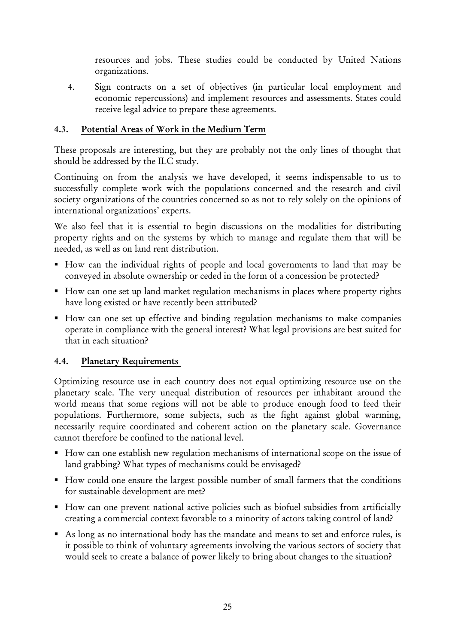resources and jobs. These studies could be conducted by United Nations organizations.

4. Sign contracts on a set of objectives (in particular local employment and economic repercussions) and implement resources and assessments. States could receive legal advice to prepare these agreements.

## 4.3. Potential Areas of Work in the Medium Term

These proposals are interesting, but they are probably not the only lines of thought that should be addressed by the ILC study.

Continuing on from the analysis we have developed, it seems indispensable to us to successfully complete work with the populations concerned and the research and civil society organizations of the countries concerned so as not to rely solely on the opinions of international organizations' experts.

We also feel that it is essential to begin discussions on the modalities for distributing property rights and on the systems by which to manage and regulate them that will be needed, as well as on land rent distribution.

- How can the individual rights of people and local governments to land that may be conveyed in absolute ownership or ceded in the form of a concession be protected?
- How can one set up land market regulation mechanisms in places where property rights have long existed or have recently been attributed?
- How can one set up effective and binding regulation mechanisms to make companies operate in compliance with the general interest? What legal provisions are best suited for that in each situation?

#### 4.4. Planetary Requirements

Optimizing resource use in each country does not equal optimizing resource use on the planetary scale. The very unequal distribution of resources per inhabitant around the world means that some regions will not be able to produce enough food to feed their populations. Furthermore, some subjects, such as the fight against global warming, necessarily require coordinated and coherent action on the planetary scale. Governance cannot therefore be confined to the national level.

- How can one establish new regulation mechanisms of international scope on the issue of land grabbing? What types of mechanisms could be envisaged?
- How could one ensure the largest possible number of small farmers that the conditions for sustainable development are met?
- How can one prevent national active policies such as biofuel subsidies from artificially creating a commercial context favorable to a minority of actors taking control of land?
- As long as no international body has the mandate and means to set and enforce rules, is it possible to think of voluntary agreements involving the various sectors of society that would seek to create a balance of power likely to bring about changes to the situation?